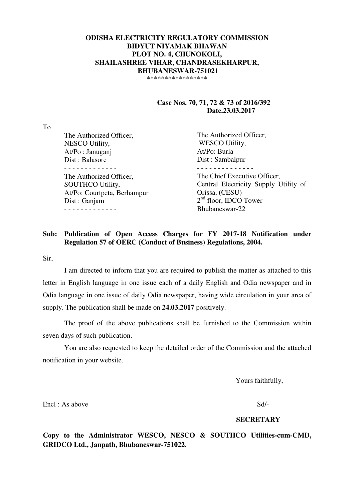### **ODISHA ELECTRICITY REGULATORY COMMISSION BIDYUT NIYAMAK BHAWAN PLOT NO. 4, CHUNOKOLI, SHAILASHREE VIHAR, CHANDRASEKHARPUR, BHUBANESWAR-751021**  \*\*\*\*\*\*\*\*\*\*\*\*\*\*\*\*\*

 **Case Nos. 70, 71, 72 & 73 of 2016/392 Date.23.03.2017** 

To

| The Authorized Officer,     | The Authorized Officer,               |
|-----------------------------|---------------------------------------|
| NESCO Utility,              | <b>WESCO Utility,</b>                 |
| At/Po: Januganj             | At/Po: Burla                          |
| Dist: Balasore              | Dist: Sambalpur                       |
|                             |                                       |
| The Authorized Officer,     | The Chief Executive Officer,          |
| <b>SOUTHCO Utility,</b>     | Central Electricity Supply Utility of |
| At/Po: Courtpeta, Berhampur | Orissa, (CESU)                        |
| Dist: Ganjam                | $2nd$ floor, IDCO Tower               |
|                             | Bhubaneswar-22                        |
|                             |                                       |

### **Sub: Publication of Open Access Charges for FY 2017-18 Notification under Regulation 57 of OERC (Conduct of Business) Regulations, 2004.**

Sir,

 I am directed to inform that you are required to publish the matter as attached to this letter in English language in one issue each of a daily English and Odia newspaper and in Odia language in one issue of daily Odia newspaper, having wide circulation in your area of supply. The publication shall be made on **24.03.2017** positively.

 The proof of the above publications shall be furnished to the Commission within seven days of such publication.

 You are also requested to keep the detailed order of the Commission and the attached notification in your website.

Yours faithfully,

Encl : As above Sd/-

#### **SECRETARY**

**Copy to the Administrator WESCO, NESCO & SOUTHCO Utilities-cum-CMD, GRIDCO Ltd., Janpath, Bhubaneswar-751022.**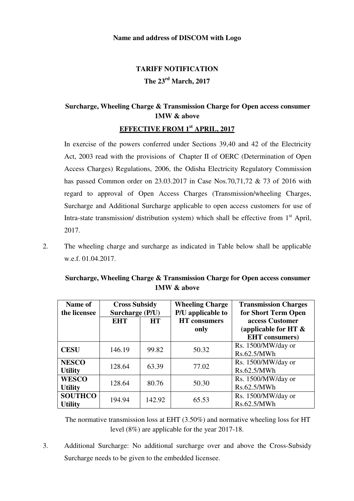### **Name and address of DISCOM with Logo**

# **TARIFF NOTIFICATION The 23rd March, 2017**

## **Surcharge, Wheeling Charge & Transmission Charge for Open access consumer 1MW & above**

## **EFFECTIVE FROM 1st APRIL, 2017**

In exercise of the powers conferred under Sections 39,40 and 42 of the Electricity Act, 2003 read with the provisions of Chapter II of OERC (Determination of Open Access Charges) Regulations, 2006, the Odisha Electricity Regulatory Commission has passed Common order on 23.03.2017 in Case Nos.70,71,72 & 73 of 2016 with regard to approval of Open Access Charges (Transmission/wheeling Charges, Surcharge and Additional Surcharge applicable to open access customers for use of Intra-state transmission/ distribution system) which shall be effective from  $1<sup>st</sup>$  April, 2017.

2. The wheeling charge and surcharge as indicated in Table below shall be applicable w.e.f. 01.04.2017.

| Name of<br>the licensee          | <b>Cross Subsidy</b><br>Surcharge (P/U) |           | <b>Wheeling Charge</b><br>P/U applicable to | <b>Transmission Charges</b><br>for Short Term Open                  |
|----------------------------------|-----------------------------------------|-----------|---------------------------------------------|---------------------------------------------------------------------|
|                                  | <b>EHT</b>                              | <b>HT</b> | <b>HT</b> consumers<br>only                 | access Customer<br>(applicable for HT $\&$<br><b>EHT</b> consumers) |
| <b>CESU</b>                      | 146.19                                  | 99.82     | 50.32                                       | Rs. 1500/MW/day or<br>Rs.62.5/MWh                                   |
| <b>NESCO</b><br><b>Utility</b>   | 128.64                                  | 63.39     | 77.02                                       | Rs. 1500/MW/day or<br>Rs.62.5/MWh                                   |
| <b>WESCO</b><br><b>Utility</b>   | 128.64                                  | 80.76     | 50.30                                       | Rs. 1500/MW/day or<br>Rs.62.5/MWh                                   |
| <b>SOUTHCO</b><br><b>Utility</b> | 194.94                                  | 142.92    | 65.53                                       | Rs. 1500/MW/day or<br>Rs.62.5/MWh                                   |

## **Surcharge, Wheeling Charge & Transmission Charge for Open access consumer 1MW & above**

The normative transmission loss at EHT (3.50%) and normative wheeling loss for HT level (8%) are applicable for the year 2017-18.

3. Additional Surcharge: No additional surcharge over and above the Cross-Subsidy Surcharge needs to be given to the embedded licensee.